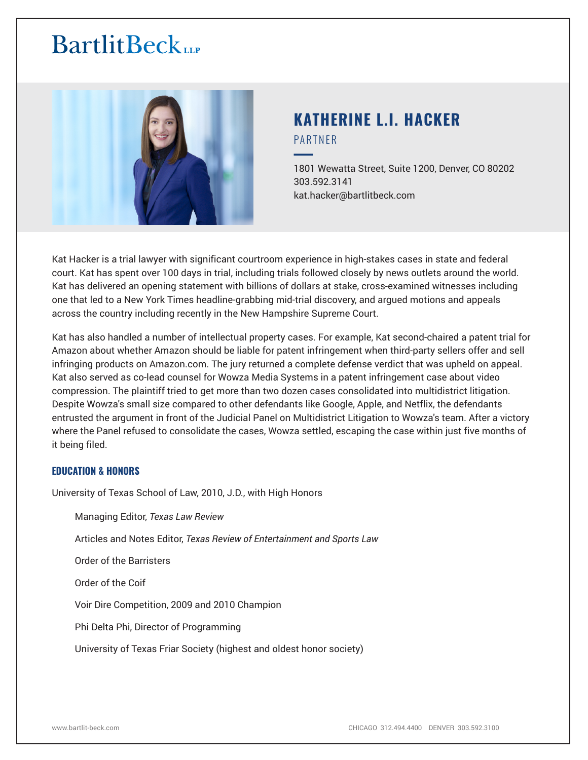

# **KATHERINE L.I. HACKER** PARTNER

━1801 Wewatta Street, Suite 1200, Denver, CO 80202 303.592.3141 kat.hacker@bartlitbeck.com

Kat Hacker is a trial lawyer with significant courtroom experience in high-stakes cases in state and federal court. Kat has spent over 100 days in trial, including trials followed closely by news outlets around the world. Kat has delivered an opening statement with billions of dollars at stake, cross-examined witnesses including one that led to a New York Times headline-grabbing mid-trial discovery, and argued motions and appeals across the country including recently in the New Hampshire Supreme Court.

Kat has also handled a number of intellectual property cases. For example, Kat second-chaired a patent trial for Amazon about whether Amazon should be liable for patent infringement when third-party sellers offer and sell infringing products on Amazon.com. The jury returned a complete defense verdict that was upheld on appeal. Kat also served as co-lead counsel for Wowza Media Systems in a patent infringement case about video compression. The plaintiff tried to get more than two dozen cases consolidated into multidistrict litigation. Despite Wowza's small size compared to other defendants like Google, Apple, and Netflix, the defendants entrusted the argument in front of the Judicial Panel on Multidistrict Litigation to Wowza's team. After a victory where the Panel refused to consolidate the cases, Wowza settled, escaping the case within just five months of it being filed.

# **EDUCATION & HONORS**

University of Texas School of Law, 2010, J.D., with High Honors

Managing Editor, *Texas Law Review*

Articles and Notes Editor, *Texas Review of Entertainment and Sports Law*

Order of the Barristers

Order of the Coif

Voir Dire Competition, 2009 and 2010 Champion

Phi Delta Phi, Director of Programming

University of Texas Friar Society (highest and oldest honor society)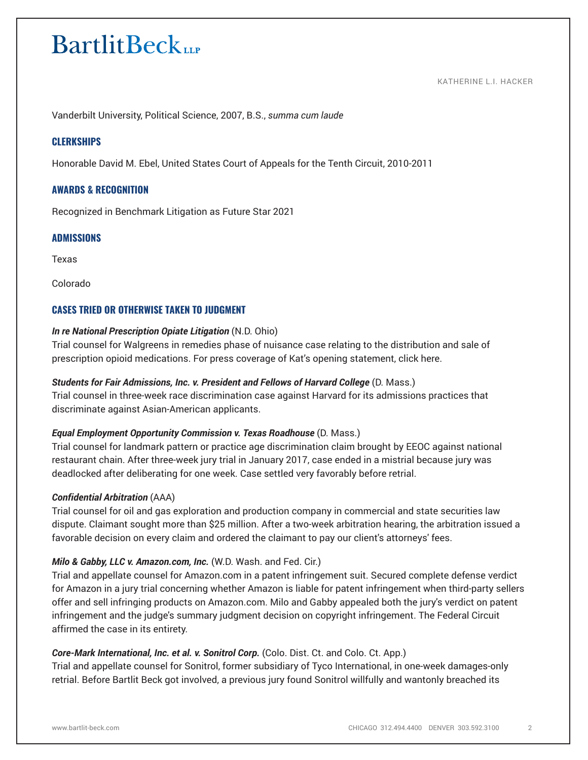#### KATHERINE L.I. HACKER

Vanderbilt University, Political Science, 2007, B.S., *summa cum laude* 

# **CLERKSHIPS**

Honorable David M. Ebel, United States Court of Appeals for the Tenth Circuit, 2010-2011

# **AWARDS & RECOGNITION**

Recognized in Benchmark Litigation as Future Star 2021

# **ADMISSIONS**

Texas

Colorado

# **CASES TRIED OR OTHERWISE TAKEN TO JUDGMENT**

#### *In re National Prescription Opiate Litigation* (N.D. Ohio)

Trial counsel for Walgreens in remedies phase of nuisance case relating to the distribution and sale of prescription opioid medications. For press coverage of Kat's opening statement, click here.

#### *Students for Fair Admissions, Inc. v. President and Fellows of Harvard College* (D. Mass.)

Trial counsel in three-week race discrimination case against Harvard for its admissions practices that discriminate against Asian-American applicants.

# *Equal Employment Opportunity Commission v. Texas Roadhouse* (D. Mass.)

Trial counsel for landmark pattern or practice age discrimination claim brought by EEOC against national restaurant chain. After three-week jury trial in January 2017, case ended in a mistrial because jury was deadlocked after deliberating for one week. Case settled very favorably before retrial.

#### *Confidential Arbitration* (AAA)

Trial counsel for oil and gas exploration and production company in commercial and state securities law dispute. Claimant sought more than \$25 million. After a two-week arbitration hearing, the arbitration issued a favorable decision on every claim and ordered the claimant to pay our client's attorneys' fees.

# *Milo & Gabby, LLC v. Amazon.com, Inc.* (W.D. Wash. and Fed. Cir.)

Trial and appellate counsel for Amazon.com in a patent infringement suit. Secured complete defense verdict for Amazon in a jury trial concerning whether Amazon is liable for patent infringement when third-party sellers offer and sell infringing products on Amazon.com. Milo and Gabby appealed both the jury's verdict on patent infringement and the judge's summary judgment decision on copyright infringement. The Federal Circuit affirmed the case in its entirety.

# *Core-Mark International, Inc. et al. v. Sonitrol Corp.* (Colo. Dist. Ct. and Colo. Ct. App.)

Trial and appellate counsel for Sonitrol, former subsidiary of Tyco International, in one-week damages-only retrial. Before Bartlit Beck got involved, a previous jury found Sonitrol willfully and wantonly breached its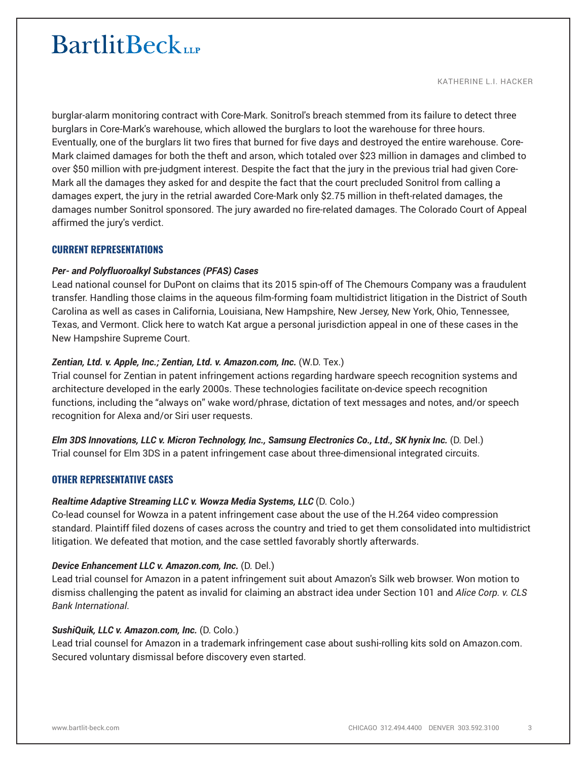KATHERINE L.I. HACKER

burglar-alarm monitoring contract with Core-Mark. Sonitrol's breach stemmed from its failure to detect three burglars in Core-Mark's warehouse, which allowed the burglars to loot the warehouse for three hours. Eventually, one of the burglars lit two fires that burned for five days and destroyed the entire warehouse. Core-Mark claimed damages for both the theft and arson, which totaled over \$23 million in damages and climbed to over \$50 million with pre-judgment interest. Despite the fact that the jury in the previous trial had given Core-Mark all the damages they asked for and despite the fact that the court precluded Sonitrol from calling a damages expert, the jury in the retrial awarded Core-Mark only \$2.75 million in theft-related damages, the damages number Sonitrol sponsored. The jury awarded no fire-related damages. The Colorado Court of Appeal affirmed the jury's verdict.

# **CURRENT REPRESENTATIONS**

# *Per- and Polyfluoroalkyl Substances (PFAS) Cases*

Lead national counsel for DuPont on claims that its 2015 spin-off of The Chemours Company was a fraudulent transfer. Handling those claims in the aqueous film-forming foam multidistrict litigation in the District of South Carolina as well as cases in California, Louisiana, New Hampshire, New Jersey, New York, Ohio, Tennessee, Texas, and Vermont. Click here to watch Kat argue a personal jurisdiction appeal in one of these cases in the New Hampshire Supreme Court.

# *Zentian, Ltd. v. Apple, Inc.; Zentian, Ltd. v. Amazon.com, Inc.* (W.D. Tex.)

Trial counsel for Zentian in patent infringement actions regarding hardware speech recognition systems and architecture developed in the early 2000s. These technologies facilitate on-device speech recognition functions, including the "always on" wake word/phrase, dictation of text messages and notes, and/or speech recognition for Alexa and/or Siri user requests.

*Elm 3DS Innovations, LLC v. Micron Technology, Inc., Samsung Electronics Co., Ltd., SK hynix Inc.* (D. Del.) Trial counsel for Elm 3DS in a patent infringement case about three-dimensional integrated circuits.

# **OTHER REPRESENTATIVE CASES**

# *Realtime Adaptive Streaming LLC v. Wowza Media Systems, LLC* (D. Colo.)

Co-lead counsel for Wowza in a patent infringement case about the use of the H.264 video compression standard. Plaintiff filed dozens of cases across the country and tried to get them consolidated into multidistrict litigation. We defeated that motion, and the case settled favorably shortly afterwards.

# *Device Enhancement LLC v. Amazon.com, Inc.* (D. Del.)

Lead trial counsel for Amazon in a patent infringement suit about Amazon's Silk web browser. Won motion to dismiss challenging the patent as invalid for claiming an abstract idea under Section 101 and *Alice Corp. v. CLS Bank International*.

# *SushiQuik, LLC v. Amazon.com, Inc.* (D. Colo.)

Lead trial counsel for Amazon in a trademark infringement case about sushi-rolling kits sold on Amazon.com. Secured voluntary dismissal before discovery even started.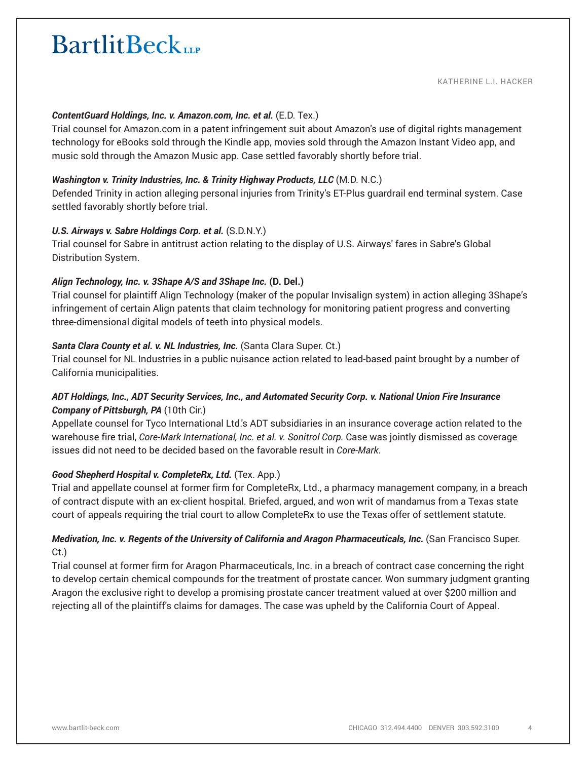#### *ContentGuard Holdings, Inc. v. Amazon.com, Inc. et al.* (E.D. Tex.)

Trial counsel for Amazon.com in a patent infringement suit about Amazon's use of digital rights management technology for eBooks sold through the Kindle app, movies sold through the Amazon Instant Video app, and music sold through the Amazon Music app. Case settled favorably shortly before trial.

#### *Washington v. Trinity Industries, Inc. & Trinity Highway Products, LLC* (M.D. N.C.)

Defended Trinity in action alleging personal injuries from Trinity's ET-Plus guardrail end terminal system. Case settled favorably shortly before trial.

#### *U.S. Airways v. Sabre Holdings Corp. et al.* (S.D.N.Y.)

Trial counsel for Sabre in antitrust action relating to the display of U.S. Airways' fares in Sabre's Global Distribution System.

# *Align Technology, Inc. v. 3Shape A/S and 3Shape Inc.* **(D. Del.)**

Trial counsel for plaintiff Align Technology (maker of the popular Invisalign system) in action alleging 3Shape's infringement of certain Align patents that claim technology for monitoring patient progress and converting three-dimensional digital models of teeth into physical models.

#### *Santa Clara County et al. v. NL Industries, Inc.* (Santa Clara Super. Ct.)

Trial counsel for NL Industries in a public nuisance action related to lead-based paint brought by a number of California municipalities.

# *ADT Holdings, Inc., ADT Security Services, Inc., and Automated Security Corp. v. National Union Fire Insurance Company of Pittsburgh, PA* (10th Cir.)

Appellate counsel for Tyco International Ltd.'s ADT subsidiaries in an insurance coverage action related to the warehouse fire trial, *Core-Mark International, Inc. et al. v. Sonitrol Corp.* Case was jointly dismissed as coverage issues did not need to be decided based on the favorable result in *Core-Mark*.

# *Good Shepherd Hospital v. CompleteRx, Ltd.* (Tex. App.)

Trial and appellate counsel at former firm for CompleteRx, Ltd., a pharmacy management company, in a breach of contract dispute with an ex-client hospital. Briefed, argued, and won writ of mandamus from a Texas state court of appeals requiring the trial court to allow CompleteRx to use the Texas offer of settlement statute.

# *Medivation, Inc. v. Regents of the University of California and Aragon Pharmaceuticals, Inc. (San Francisco Super.* Ct.)

Trial counsel at former firm for Aragon Pharmaceuticals, Inc. in a breach of contract case concerning the right to develop certain chemical compounds for the treatment of prostate cancer. Won summary judgment granting Aragon the exclusive right to develop a promising prostate cancer treatment valued at over \$200 million and rejecting all of the plaintiff's claims for damages. The case was upheld by the California Court of Appeal.